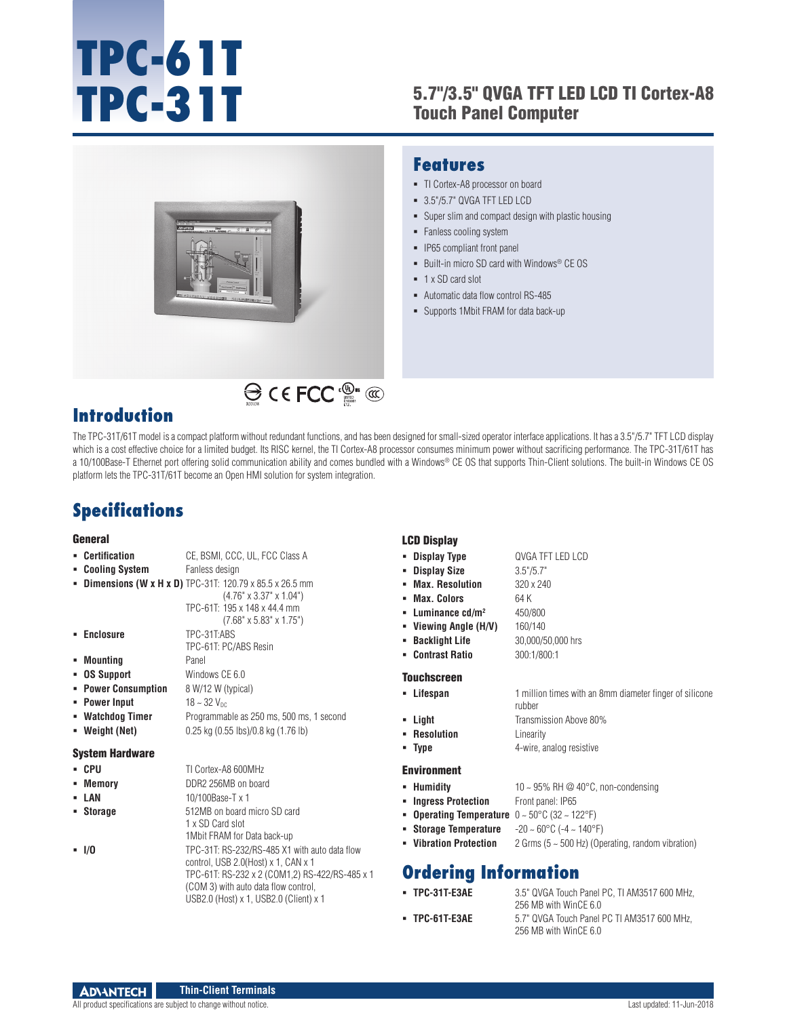# **TPC-61T**

# TPC-31T 5.7"/3.5" QVGA TFT LED LCD TI Cortex-A8 Touch Panel Computer



## **Features**

- TI Cortex-A8 processor on board
- 3.5"/5.7" QVGA TFT LED LCD
- Super slim and compact design with plastic housing
- Fanless cooling system
- IP65 compliant front panel
- Built-in micro SD card with Windows<sup>®</sup> CE OS
- 1 x SD card slot
- Automatic data flow control RS-485
- Supports 1Mbit FRAM for data back-up

# **Introduction**

The TPC-31T/61T model is a compact platform without redundant functions, and has been designed for small-sized operator interface applications. It has a 3.5"/5.7" TFT LCD display which is a cost effective choice for a limited budget. Its RISC kernel, the TI Cortex-A8 processor consumes minimum power without sacrificing performance. The TPC-31T/61T has a 10/100Base-T Ethernet port offering solid communication ability and comes bundled with a Windows® CE OS that supports Thin-Client solutions. The built-in Windows CE OS platform lets the TPC-31T/61T become an Open HMI solution for system integration.

# **Specifications**

### **General**

### **Certification** CE, BSMI, CCC, UL, FCC Class A

- **Cooling System** Fanless design
- **Dimensions (W x H x D)** TPC-31T: 120.79 x 85.5 x 26.5 mm
	- (4.76" x 3.37" x 1.04") TPC-61T: 195 x 148 x 44.4 mm (7.68" x 5.83" x 1.75")
- **Enclosure** TPC-31T:ABS TPC-61T: PC/ABS Resin
- **Mounting** Panel
- **OS Support** Windows CE 6.0
- **Power Consumption** 8 W/12 W (typical)
- **Power Input**  $18 \approx 32$  V<sub>DC</sub>
- **Watchdog Timer** Programmable as 250 ms, 500 ms, 1 second **Weight (Net)** 0.25 kg (0.55 lbs)/0.8 kg (1.76 lb)

### System Hardware

|  | • CPU     | TI Cortex-A8 600MHz                            |
|--|-----------|------------------------------------------------|
|  | • Memory  | DDR2 256MB on board                            |
|  | - LAN     | 10/100Base-T x 1                               |
|  | • Storage | 512MB on board micro SD card                   |
|  |           | 1 x SD Card slot                               |
|  |           | 1 Mbit FRAM for Data back-up                   |
|  | $-1/0$    | TPC-31T: RS-232/RS-485 X1 with auto data flow  |
|  |           | control, USB 2.0(Host) x 1, CAN x 1            |
|  |           | TPC-61T: RS-232 x 2 (COM1,2) RS-422/RS-485 x 1 |
|  |           | (COM 3) with auto data flow control,           |
|  |           | USB2.0 (Host) x 1, USB2.0 (Client) x 1         |
|  |           |                                                |
|  |           |                                                |

### LCD Display

- **Display Type** QVGA TFT LED LCD **Display Size** 3.5"/5.7" **Max. Resolution** 320 x 240 **Max. Colors** 64 K **- Luminance cd/m<sup>2</sup> 450/800 Viewing Angle (H/V)** 160/140 **Backlight Life** 30,000/50,000 hrs
- **Contrast Ratio** 300:1/800:1

### **Touchscreen**

| • Lifespan   | 1 million times with an 8mm diameter finger of silicone<br>rubber |
|--------------|-------------------------------------------------------------------|
| = Liaht      | Transmission Above 80%                                            |
| • Resolution | Linearity                                                         |
| • Type       | 4-wire, analog resistive                                          |

### Environment

- **Humidity** 10 ~ 95% RH @ 40°C, non-condensing
- **Ingress Protection** Front panel: IP65
- **Operating Temperature** 0 ~ 50°C (32 ~ 122°F)
- **Storage Temperature** -20 ~ 60°C (-4 ~ 140°F)
- **Vibration Protection** 2 Grms (5 ~ 500 Hz) (Operating, random vibration)

# **Ordering Information**

- 
- **TPC-31T-E3AE** 3.5" QVGA Touch Panel PC, TI AM3517 600 MHz, 256 MB with WinCE 6.0 **TPC-61T-E3AE** 5.7" QVGA Touch Panel PC TI AM3517 600 MHz, 256 MB with WinCE 6.0
-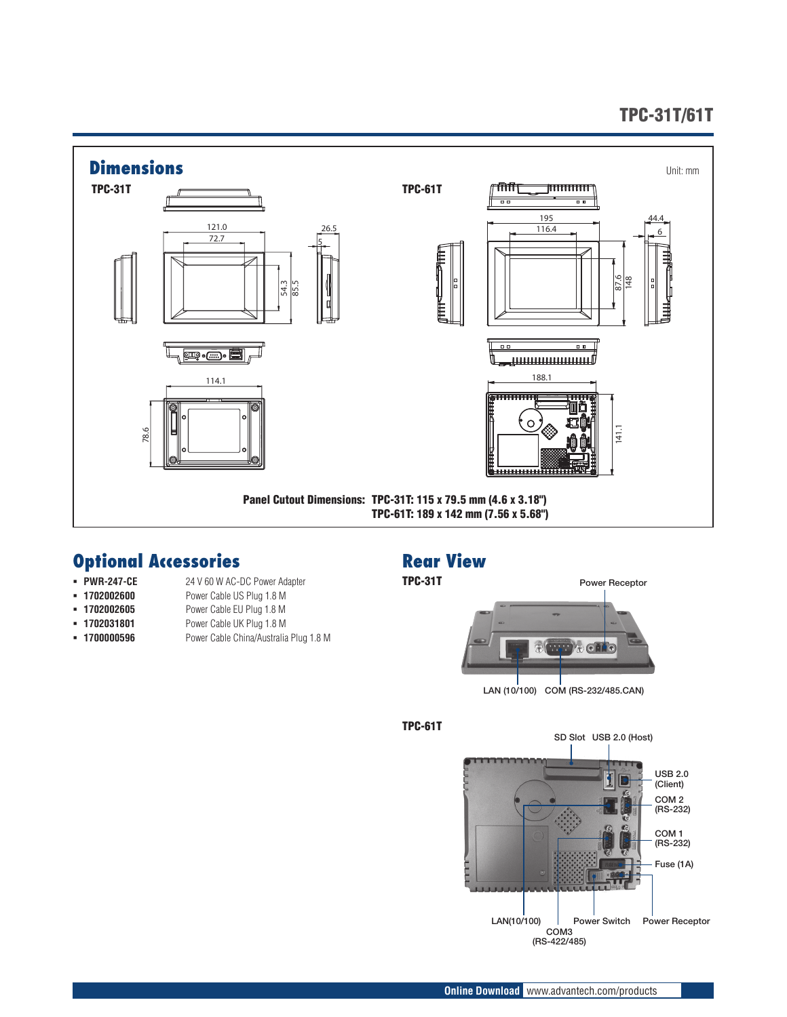# TPC-31T/61T



# **Optional Accessories Rear View**

- **PWR-247-CE** 24 V 60 W AC-DC Power Adapter<br>**1702002600** Power Cable US Plug 1.8 M
- 
- **1702002605** Power Cable EU Plug 1.8 M
- 
- **1702031801** Power Cable UK Plug 1.8 M

Power Cable US Plug 1.8 M

**1700000596** Power Cable China/Australia Plug 1.8 M

TPC-31T



TPC-61T